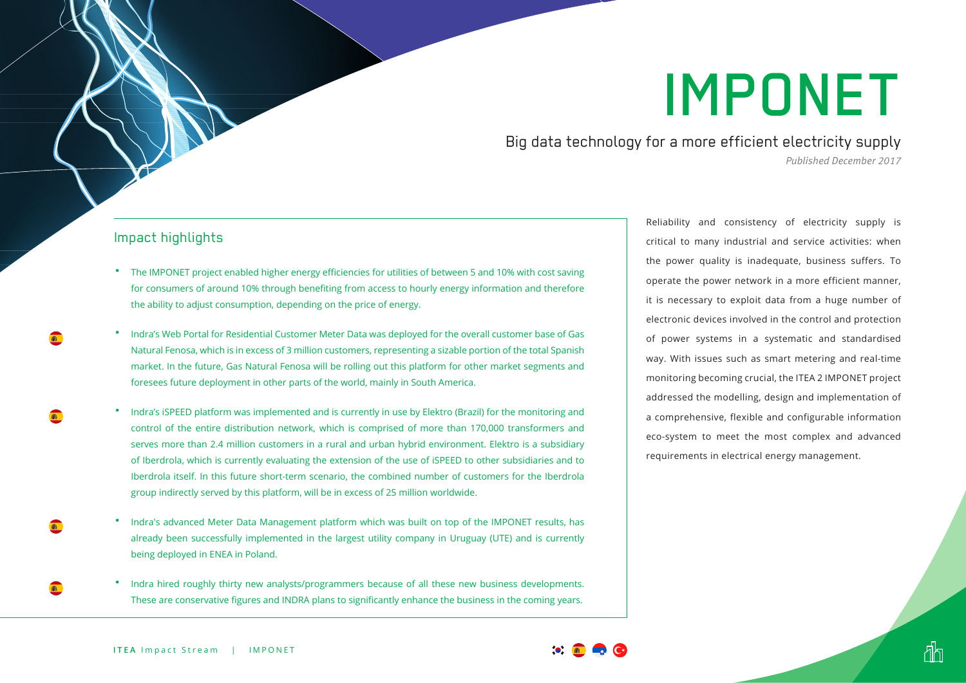# IMPONET

Big data technology for a more efficient electricity supply *Published December 2017*

#### Impact highlights

- The IMPONET project enabled higher energy efficiencies for utilities of between 5 and 10% with cost saving for consumers of around 10% through benefiting from access to hourly energy information and therefore the ability to adjust consumption, depending on the price of energy.
- Indra's Web Portal for Residential Customer Meter Data was deployed for the overall customer base of Gas Natural Fenosa, which is in excess of 3 million customers, representing a sizable portion of the total Spanish market. In the future, Gas Natural Fenosa will be rolling out this platform for other market segments and foresees future deployment in other parts of the world, mainly in South America.
- Indra's iSPEED platform was implemented and is currently in use by Elektro (Brazil) for the monitoring and control of the entire distribution network, which is comprised of more than 170,000 transformers and serves more than 2.4 million customers in a rural and urban hybrid environment. Elektro is a subsidiary of Iberdrola, which is currently evaluating the extension of the use of iSPEED to other subsidiaries and to Iberdrola itself. In this future short-term scenario, the combined number of customers for the Iberdrola group indirectly served by this platform, will be in excess of 25 million worldwide.
- Indra's advanced Meter Data Management platform which was built on top of the IMPONET results, has already been successfully implemented in the largest utility company in Uruguay (UTE) and is currently being deployed in ENEA in Poland.
- Indra hired roughly thirty new analysts/programmers because of all these new business developments. These are conservative figures and INDRA plans to significantly enhance the business in the coming years.

Reliability and consistency of electricity supply is critical to many industrial and service activities: when the power quality is inadequate, business suffers. To operate the power network in a more efficient manner, it is necessary to exploit data from a huge number of electronic devices involved in the control and protection of power systems in a systematic and standardised way. With issues such as smart metering and real-time monitoring becoming crucial, the ITEA 2 IMPONET project addressed the modelling, design and implementation of a comprehensive, flexible and configurable information eco-system to meet the most complex and advanced requirements in electrical energy management.

đh



瓣